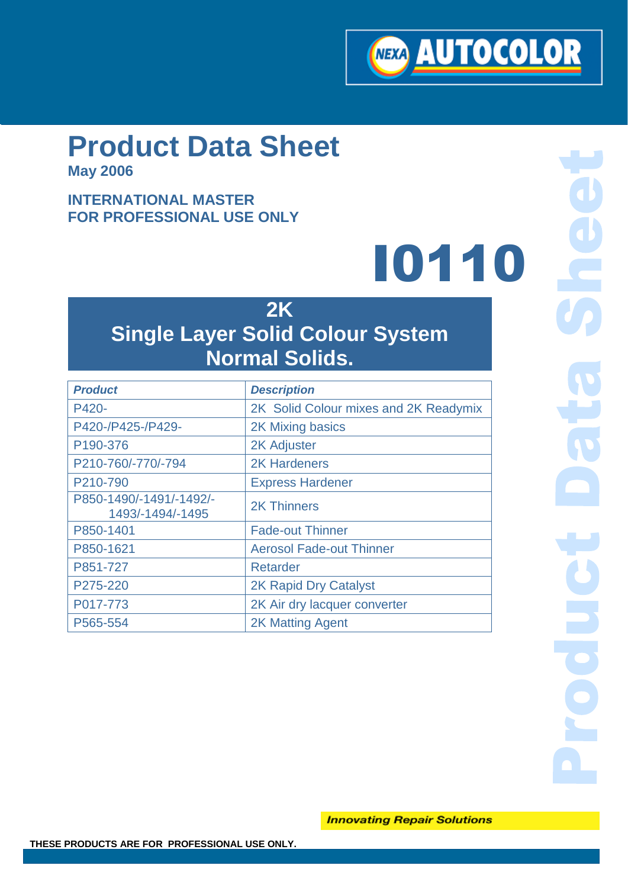

# **Product Data Sheet**

**May 2006**

## **INTERNATIONAL MASTER FOR PROFESSIONAL USE ONLY**

# I0110

# **2K Single Layer Solid Colour System Normal Solids.**

| <b>Product</b>                              | <b>Description</b>                    |
|---------------------------------------------|---------------------------------------|
| P420-                                       | 2K Solid Colour mixes and 2K Readymix |
| P420-/P425-/P429-                           | 2K Mixing basics                      |
| P190-376                                    | <b>2K Adjuster</b>                    |
| P210-760/-770/-794                          | <b>2K Hardeners</b>                   |
| P210-790                                    | <b>Express Hardener</b>               |
| P850-1490/-1491/-1492/-<br>1493/-1494/-1495 | <b>2K Thinners</b>                    |
| P850-1401                                   | <b>Fade-out Thinner</b>               |
| P850-1621                                   | <b>Aerosol Fade-out Thinner</b>       |
| P851-727                                    | Retarder                              |
| P275-220                                    | <b>2K Rapid Dry Catalyst</b>          |
| P017-773                                    | 2K Air dry lacquer converter          |
| P565-554                                    | <b>2K Matting Agent</b>               |
|                                             |                                       |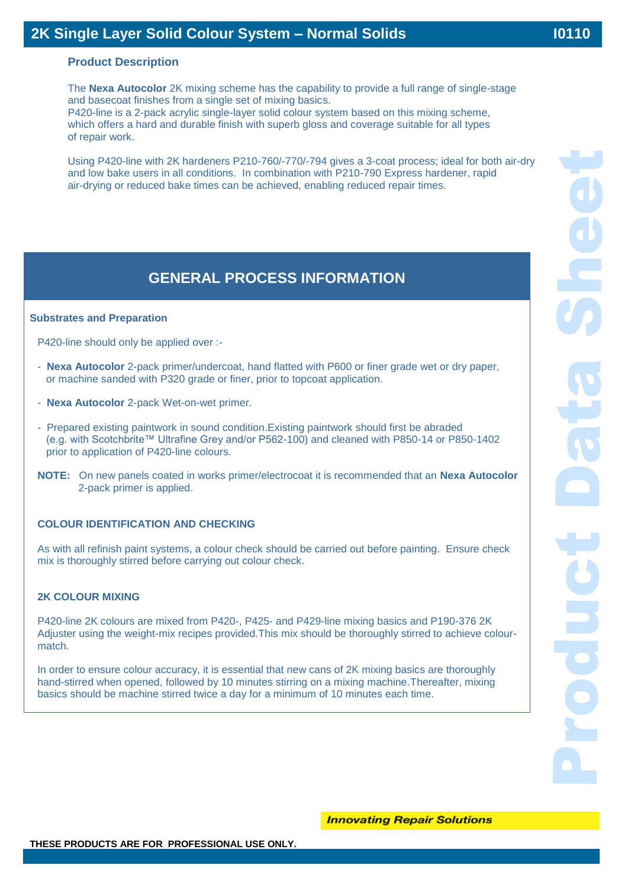#### **Product Description**

The **Nexa Autocolor** 2K mixing scheme has the capability to provide a full range of single-stage and basecoat finishes from a single set of mixing basics.

 **I0400**

P420-line is a 2-pack acrylic single-layer solid colour system based on this mixing scheme, which offers a hard and durable finish with superb gloss and coverage suitable for all types of repair work.

Using P420-line with 2K hardeners P210-760/-770/-794 gives a 3-coat process; ideal for both air-dry and low bake users in all conditions. In combination with P210-790 Express hardener, rapid air-drying or reduced bake times can be achieved, enabling reduced repair times.

# **GENERAL PROCESS INFORMATION**

#### **Substrates and Preparation**

P420-line should only be applied over :-

- **Nexa Autocolor** 2-pack primer/undercoat, hand flatted with P600 or finer grade wet or dry paper, or machine sanded with P320 grade or finer, prior to topcoat application.
- **Nexa Autocolor** 2-pack Wet-on-wet primer.
- Prepared existing paintwork in sound condition.Existing paintwork should first be abraded (e.g. with Scotchbrite™ Ultrafine Grey and/or P562-100) and cleaned with P850-14 or P850-1402 prior to application of P420-line colours.
- **NOTE:** On new panels coated in works primer/electrocoat it is recommended that an **Nexa Autocolor** 2-pack primer is applied.

#### **COLOUR IDENTIFICATION AND CHECKING**

As with all refinish paint systems, a colour check should be carried out before painting. Ensure check mix is thoroughly stirred before carrying out colour check.

#### **2K COLOUR MIXING**

P420-line 2K colours are mixed from P420-, P425- and P429-line mixing basics and P190-376 2K Adjuster using the weight-mix recipes provided.This mix should be thoroughly stirred to achieve colourmatch.

In order to ensure colour accuracy, it is essential that new cans of 2K mixing basics are thoroughly hand-stirred when opened, followed by 10 minutes stirring on a mixing machine.Thereafter, mixing basics should be machine stirred twice a day for a minimum of 10 minutes each time.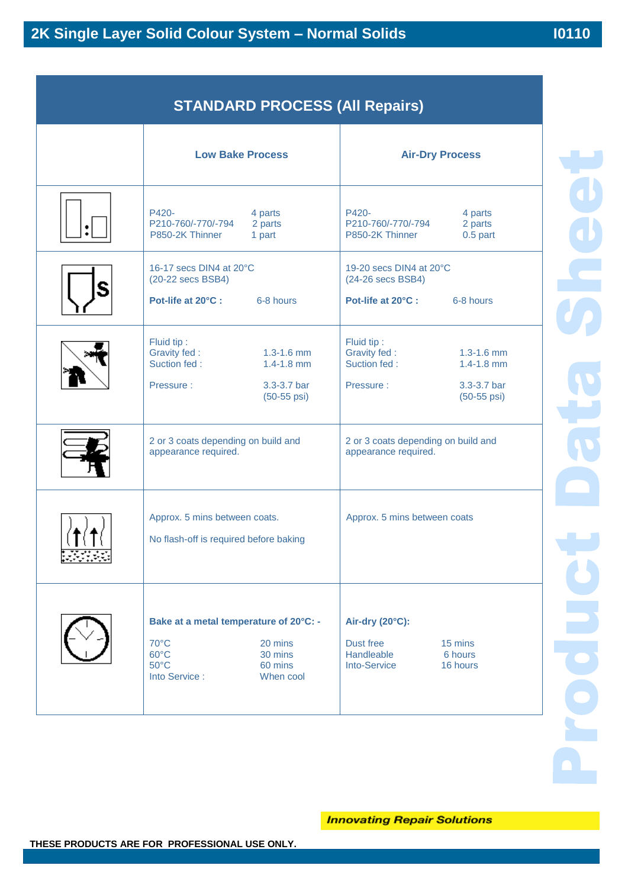**I0400**

| <b>Low Bake Process</b>                                                                                                                            | <b>Air-Dry Process</b>                                                                                                               |  |
|----------------------------------------------------------------------------------------------------------------------------------------------------|--------------------------------------------------------------------------------------------------------------------------------------|--|
| P420-<br>4 parts<br>P210-760/-770/-794<br>2 parts<br>P850-2K Thinner<br>1 part                                                                     | P420-<br>4 parts<br>P210-760/-770/-794<br>2 parts<br>P850-2K Thinner<br>$0.5$ part                                                   |  |
| 16-17 secs DIN4 at 20°C<br>(20-22 secs BSB4)<br>Pot-life at 20°C :<br>6-8 hours                                                                    | 19-20 secs DIN4 at 20°C<br>(24-26 secs BSB4)<br>Pot-life at 20°C :<br>6-8 hours                                                      |  |
| Fluid tip:<br>Gravity fed:<br>$1.3 - 1.6$ mm<br>Suction fed:<br>$1.4 - 1.8$ mm<br>3.3-3.7 bar<br>Pressure:<br>$(50-55 \,\text{psi})$               | Fluid tip:<br>Gravity fed:<br>$1.3 - 1.6$ mm<br>Suction fed:<br>$1.4 - 1.8$ mm<br>3.3-3.7 bar<br>Pressure:<br>$(50-55 \,\text{psi})$ |  |
| 2 or 3 coats depending on build and<br>appearance required.                                                                                        | 2 or 3 coats depending on build and<br>appearance required.                                                                          |  |
| Approx. 5 mins between coats.<br>No flash-off is required before baking                                                                            | Approx. 5 mins between coats                                                                                                         |  |
| Bake at a metal temperature of 20°C: -<br>70°C<br>20 mins<br>$60^{\circ}$ C<br>30 mins<br>$50^{\circ}$ C<br>60 mins<br>Into Service :<br>When cool | Air-dry (20°C):<br>Dust free<br>15 mins<br>Handleable<br>6 hours<br><b>Into-Service</b><br>16 hours                                  |  |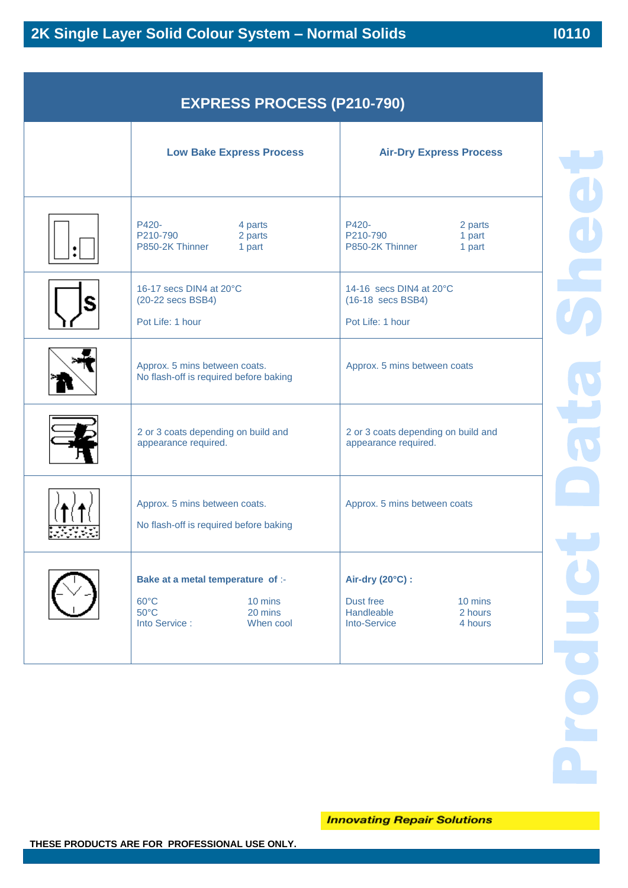| <b>EXPRESS PROCESS (P210-790)</b> |  |
|-----------------------------------|--|
|-----------------------------------|--|

 **I0400**

|   | <b>Low Bake Express Process</b>                                                                                           | <b>Air-Dry Express Process</b>                                                                      |  |
|---|---------------------------------------------------------------------------------------------------------------------------|-----------------------------------------------------------------------------------------------------|--|
|   | P420-<br>4 parts<br>P210-790<br>2 parts<br>P850-2K Thinner<br>1 part                                                      | P420-<br>2 parts<br>P210-790<br>1 part<br>P850-2K Thinner<br>1 part                                 |  |
| S | 16-17 secs DIN4 at 20°C<br>(20-22 secs BSB4)<br>Pot Life: 1 hour                                                          | 14-16 secs DIN4 at 20°C<br>(16-18 secs BSB4)<br>Pot Life: 1 hour                                    |  |
|   | Approx. 5 mins between coats.<br>No flash-off is required before baking                                                   | Approx. 5 mins between coats                                                                        |  |
|   | 2 or 3 coats depending on build and<br>appearance required.                                                               | 2 or 3 coats depending on build and<br>appearance required.                                         |  |
|   | Approx. 5 mins between coats.<br>No flash-off is required before baking                                                   | Approx. 5 mins between coats                                                                        |  |
|   | Bake at a metal temperature of :-<br>$60^{\circ}$ C<br>10 mins<br>$50^{\circ}$ C<br>20 mins<br>Into Service:<br>When cool | Air-dry (20°C) :<br>Dust free<br>10 mins<br>Handleable<br>2 hours<br><b>Into-Service</b><br>4 hours |  |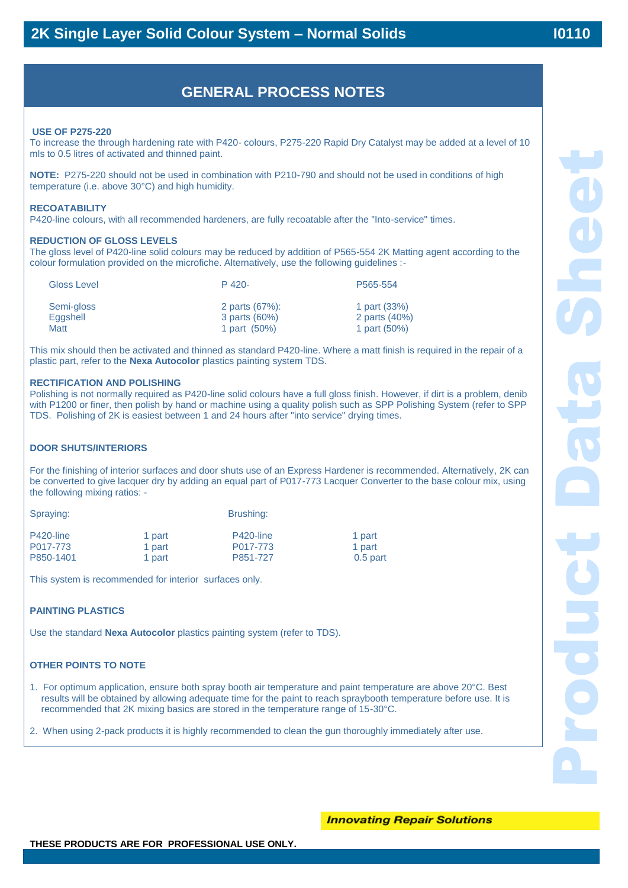## **GENERAL PROCESS NOTES**

 **I0400**

#### **USE OF P275-220**

To increase the through hardening rate with P420- colours, P275-220 Rapid Dry Catalyst may be added at a level of 10 mls to 0.5 litres of activated and thinned paint.

**NOTE:** P275-220 should not be used in combination with P210-790 and should not be used in conditions of high temperature (i.e. above 30°C) and high humidity.

#### **RECOATABILITY**

P420-line colours, with all recommended hardeners, are fully recoatable after the "Into-service" times.

#### **REDUCTION OF GLOSS LEVELS**

The gloss level of P420-line solid colours may be reduced by addition of P565-554 2K Matting agent according to the colour formulation provided on the microfiche. Alternatively, use the following guidelines :-

| <b>Gloss Level</b> | $P$ 420-       | P565-554      |
|--------------------|----------------|---------------|
| Semi-gloss         | 2 parts (67%): | 1 part (33%)  |
| Eaashell           | 3 parts (60%)  | 2 parts (40%) |
| Matt               | 1 part (50%)   | 1 part (50%)  |

This mix should then be activated and thinned as standard P420-line. Where a matt finish is required in the repair of a plastic part, refer to the **Nexa Autocolor** plastics painting system TDS.

#### **RECTIFICATION AND POLISHING**

Polishing is not normally required as P420-line solid colours have a full gloss finish. However, if dirt is a problem, denib with P1200 or finer, then polish by hand or machine using a quality polish such as SPP Polishing System (refer to SPP TDS. Polishing of 2K is easiest between 1 and 24 hours after "into service" drying times.

#### **DOOR SHUTS/INTERIORS**

For the finishing of interior surfaces and door shuts use of an Express Hardener is recommended. Alternatively, 2K can be converted to give lacquer dry by adding an equal part of P017-773 Lacquer Converter to the base colour mix, using the following mixing ratios: -

Spraying: Brushing:

P420-line 1 part 1 P420-line 1 part 1 part P017-773 1 part P017-773 1 part P850-1401 1 part P850-1401 1 part

This system is recommended for interior surfaces only.

#### **PAINTING PLASTICS**

Use the standard **Nexa Autocolor** plastics painting system (refer to TDS).

#### **OTHER POINTS TO NOTE**

1. For optimum application, ensure both spray booth air temperature and paint temperature are above 20°C. Best results will be obtained by allowing adequate time for the paint to reach spraybooth temperature before use. It is recommended that 2K mixing basics are stored in the temperature range of 15-30°C.

2. When using 2-pack products it is highly recommended to clean the gun thoroughly immediately after use.